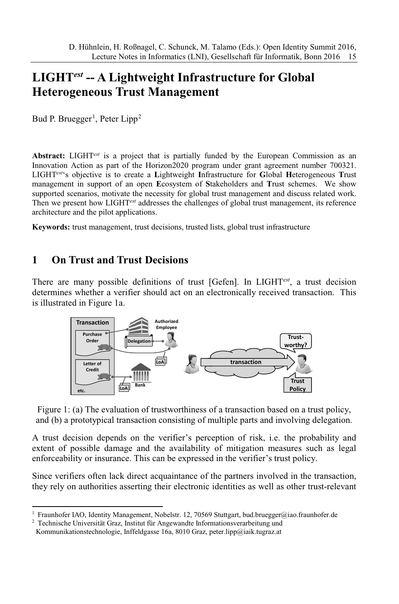# **LIGHT***est* **-- A Lightweight Infrastructure for Global Heterogeneous Trust Management**

Bud P. Bruegger<sup>1</sup>, Peter Lipp<sup>2</sup>

**Abstract:** LIGHT*est* is a project that is partially funded by the European Commission as an Innovation Action as part of the Horizon2020 program under grant agreement number 700321. LIGHT*est*'s objective is to create a **L**ightweight **I**nfrastructure for **G**lobal **H**eterogeneous **T**rust management in support of an open **E**cosystem of **S**takeholders and **T**rust schemes. We show supported scenarios, motivate the necessity for global trust management and discuss related work. Then we present how LIGHT*est* addresses the challenges of global trust management, its reference architecture and the pilot applications.

**Keywords:** trust management, trust decisions, trusted lists, global trust infrastructure

### **1 On Trust and Trust Decisions**

There are many possible definitions of trust [Gefen]. In LIGHT*est* , a trust decision determines whether a verifier should act on an electronically received transaction. This is illustrated in Figure 1a.



Figure 1: (a) The evaluation of trustworthiness of a transaction based on a trust policy, and (b) a prototypical transaction consisting of multiple parts and involving delegation.

A trust decision depends on the verifier's perception of risk, i.e. the probability and extent of possible damage and the availability of mitigation measures such as legal enforceability or insurance. This can be expressed in the verifier's trust policy.

Since verifiers often lack direct acquaintance of the partners involved in the transaction, they rely on authorities asserting their electronic identities as well as other trust-relevant

<sup>1</sup> Fraunhofer IAO, Identity Management, Nobelstr. 12, 70569 Stuttgart, bud.bruegger@iao.fraunhofer.de

<sup>2</sup> Technische Universität Graz, Institut für Angewandte Informationsverarbeitung und

Kommunikationstechnologie, Inffeldgasse 16a, 8010 Graz, peter.lipp@iaik.tugraz.at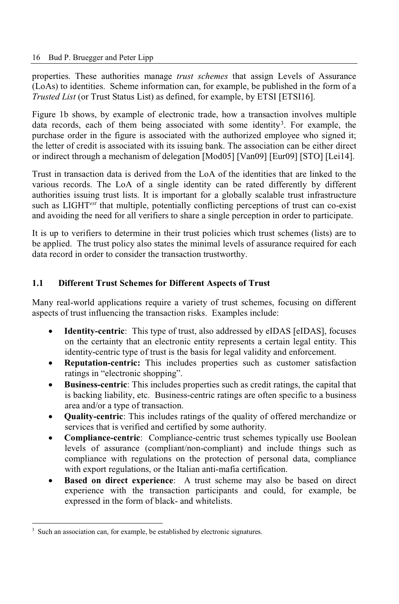properties. These authorities manage *trust schemes* that assign Levels of Assurance (LoAs) to identities. Scheme information can, for example, be published in the form of a *Trusted List* (or Trust Status List) as defined, for example, by ETSI [ETSI16].

Figure 1b shows, by example of electronic trade, how a transaction involves multiple data records, each of them being associated with some identity<sup>3</sup>. For example, the purchase order in the figure is associated with the authorized employee who signed it; the letter of credit is associated with its issuing bank. The association can be either direct or indirect through a mechanism of delegation [Mod05] [Van09] [Eur09] [STO] [Lei14].

Trust in transaction data is derived from the LoA of the identities that are linked to the various records. The LoA of a single identity can be rated differently by different authorities issuing trust lists. It is important for a globally scalable trust infrastructure such as LIGHT*est* that multiple, potentially conflicting perceptions of trust can co-exist and avoiding the need for all verifiers to share a single perception in order to participate.

It is up to verifiers to determine in their trust policies which trust schemes (lists) are to be applied. The trust policy also states the minimal levels of assurance required for each data record in order to consider the transaction trustworthy.

#### **1.1 Different Trust Schemes for Different Aspects of Trust**

Many real-world applications require a variety of trust schemes, focusing on different aspects of trust influencing the transaction risks. Examples include:

- **Identity-centric**: This type of trust, also addressed by eIDAS [eIDAS], focuses on the certainty that an electronic entity represents a certain legal entity. This identity-centric type of trust is the basis for legal validity and enforcement.
- **Reputation-centric:** This includes properties such as customer satisfaction ratings in "electronic shopping".
- **Business-centric**: This includes properties such as credit ratings, the capital that is backing liability, etc. Business-centric ratings are often specific to a business area and/or a type of transaction.
- **Quality-centric**: This includes ratings of the quality of offered merchandize or services that is verified and certified by some authority.
- **Compliance-centric**: Compliance-centric trust schemes typically use Boolean levels of assurance (compliant/non-compliant) and include things such as compliance with regulations on the protection of personal data, compliance with export regulations, or the Italian anti-mafia certification.
- **Based on direct experience**: A trust scheme may also be based on direct experience with the transaction participants and could, for example, be expressed in the form of black- and whitelists.

Such an association can, for example, be established by electronic signatures.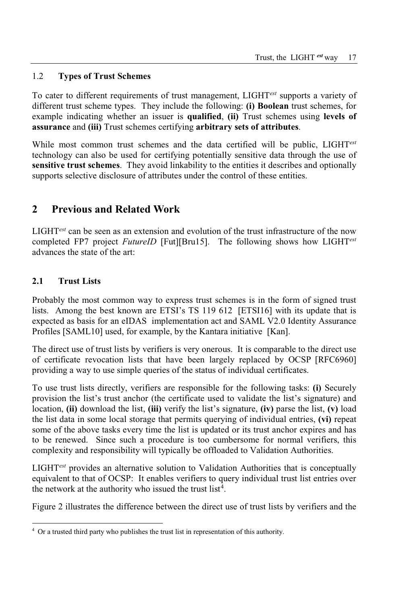#### 1.2 **Types of Trust Schemes**

To cater to different requirements of trust management, LIGHT*est* supports a variety of different trust scheme types. They include the following: **(i) Boolean** trust schemes, for example indicating whether an issuer is **qualified**, **(ii)** Trust schemes using **levels of assurance** and **(iii)** Trust schemes certifying **arbitrary sets of attributes**.

While most common trust schemes and the data certified will be public, LIGHT*est* technology can also be used for certifying potentially sensitive data through the use of **sensitive trust schemes**. They avoid linkability to the entities it describes and optionally supports selective disclosure of attributes under the control of these entities.

# **2 Previous and Related Work**

LIGHT*est* can be seen as an extension and evolution of the trust infrastructure of the now completed FP7 project *FutureID* [Fut][Bru15]. The following shows how LIGHT*est* advances the state of the art:

### **2.1 Trust Lists**

Probably the most common way to express trust schemes is in the form of signed trust lists. Among the best known are ETSI's TS 119 612 [ETSI16] with its update that is expected as basis for an eIDAS implementation act and SAML V2.0 Identity Assurance Profiles [SAML10] used, for example, by the Kantara initiative [Kan].

The direct use of trust lists by verifiers is very onerous. It is comparable to the direct use of certificate revocation lists that have been largely replaced by OCSP [RFC6960] providing a way to use simple queries of the status of individual certificates.

To use trust lists directly, verifiers are responsible for the following tasks: **(i)** Securely provision the list's trust anchor (the certificate used to validate the list's signature) and location, **(ii)** download the list, **(iii)** verify the list's signature, **(iv)** parse the list, **(v)** load the list data in some local storage that permits querying of individual entries, **(vi)** repeat some of the above tasks every time the list is updated or its trust anchor expires and has to be renewed. Since such a procedure is too cumbersome for normal verifiers, this complexity and responsibility will typically be offloaded to Validation Authorities.

LIGHT*est* provides an alternative solution to Validation Authorities that is conceptually equivalent to that of OCSP: It enables verifiers to query individual trust list entries over the network at the authority who issued the trust list<sup>4</sup>.

Figure 2 illustrates the difference between the direct use of trust lists by verifiers and the

<sup>4</sup> Or a trusted third party who publishes the trust list in representation of this authority.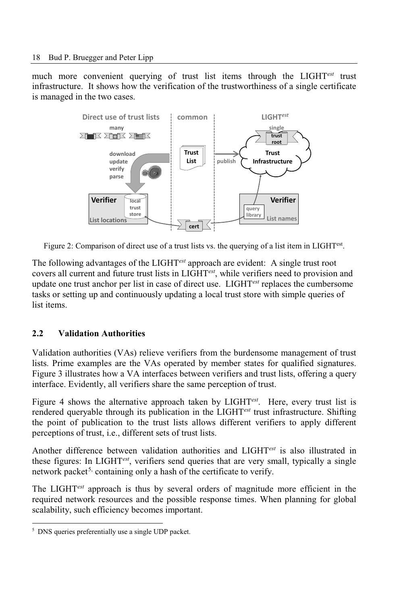much more convenient querying of trust list items through the LIGHT*est* trust infrastructure. It shows how the verification of the trustworthiness of a single certificate is managed in the two cases.



Figure 2: Comparison of direct use of a trust lists vs. the querying of a list item in LIGHTest .

The following advantages of the LIGHT*est* approach are evident: A single trust root covers all current and future trust lists in LIGHT*est*, while verifiers need to provision and update one trust anchor per list in case of direct use. LIGHT*est* replaces the cumbersome tasks or setting up and continuously updating a local trust store with simple queries of list items.

#### **2.2 Validation Authorities**

Validation authorities (VAs) relieve verifiers from the burdensome management of trust lists. Prime examples are the VAs operated by member states for qualified signatures. Figure 3 illustrates how a VA interfaces between verifiers and trust lists, offering a query interface. Evidently, all verifiers share the same perception of trust.

Figure 4 shows the alternative approach taken by LIGHT*est* . Here, every trust list is rendered queryable through its publication in the LIGHT*est* trust infrastructure. Shifting the point of publication to the trust lists allows different verifiers to apply different perceptions of trust, i.e., different sets of trust lists.

Another difference between validation authorities and LIGHT*est* is also illustrated in these figures: In LIGHT*est* , verifiers send queries that are very small, typically a single network packet<sup>5,</sup> containing only a hash of the certificate to verify.

The LIGHT*est* approach is thus by several orders of magnitude more efficient in the required network resources and the possible response times. When planning for global scalability, such efficiency becomes important.

<sup>5</sup> DNS queries preferentially use a single UDP packet.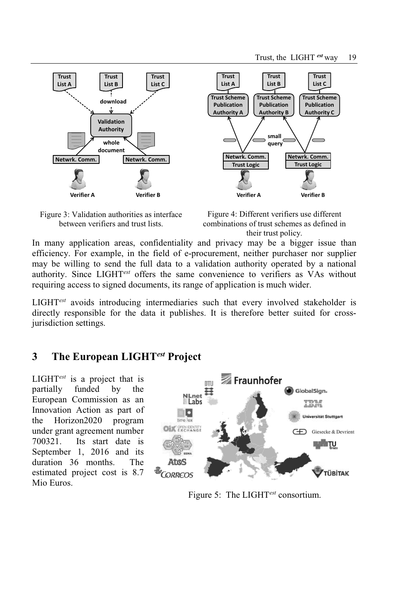**Trust List C**

**Trust Scheme Publication Authority C**







**Trust List B**

**small query**

In many application areas, confidentiality and privacy may be a bigger issue than efficiency. For example, in the field of e-procurement, neither purchaser nor supplier may be willing to send the full data to a validation authority operated by a national authority. Since LIGHT*est* offers the same convenience to verifiers as VAs without requiring access to signed documents, its range of application is much wider.

LIGHT*est* avoids introducing intermediaries such that every involved stakeholder is directly responsible for the data it publishes. It is therefore better suited for crossjurisdiction settings.

### **3 The European LIGHT***est* **Project**

LIGHT*est* is a project that is partially funded by the European Commission as an Innovation Action as part of the Horizon2020 program under grant agreement number 700321. Its start date is September 1, 2016 and its duration 36 months. The estimated project cost is 8.7 Mio Euros.



Figure 5: The LIGHT*est* consortium.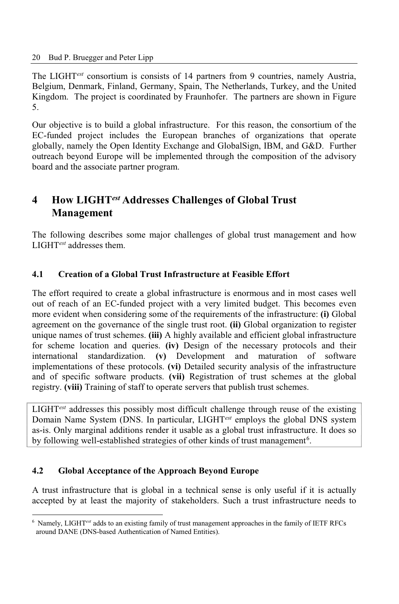The LIGHT*est* consortium is consists of 14 partners from 9 countries, namely Austria, Belgium, Denmark, Finland, Germany, Spain, The Netherlands, Turkey, and the United Kingdom. The project is coordinated by Fraunhofer. The partners are shown in Figure 5.

Our objective is to build a global infrastructure. For this reason, the consortium of the EC-funded project includes the European branches of organizations that operate globally, namely the Open Identity Exchange and GlobalSign, IBM, and G&D. Further outreach beyond Europe will be implemented through the composition of the advisory board and the associate partner program.

# **4 How LIGHT***est* **Addresses Challenges of Global Trust Management**

The following describes some major challenges of global trust management and how LIGHT*est* addresses them.

#### **4.1 Creation of a Global Trust Infrastructure at Feasible Effort**

The effort required to create a global infrastructure is enormous and in most cases well out of reach of an EC-funded project with a very limited budget. This becomes even more evident when considering some of the requirements of the infrastructure: **(i)** Global agreement on the governance of the single trust root. **(ii)** Global organization to register unique names of trust schemes. **(iii)** A highly available and efficient global infrastructure for scheme location and queries. **(iv)** Design of the necessary protocols and their international standardization. **(v)** Development and maturation of software implementations of these protocols. **(vi)** Detailed security analysis of the infrastructure and of specific software products. **(vii)** Registration of trust schemes at the global registry. **(viii)** Training of staff to operate servers that publish trust schemes.

LIGHT*est* addresses this possibly most difficult challenge through reuse of the existing Domain Name System (DNS. In particular, LIGHT*est* employs the global DNS system as-is. Only marginal additions render it usable as a global trust infrastructure. It does so by following well-established strategies of other kinds of trust management<sup>6</sup>.

#### **4.2 Global Acceptance of the Approach Beyond Europe**

A trust infrastructure that is global in a technical sense is only useful if it is actually accepted by at least the majority of stakeholders. Such a trust infrastructure needs to

<sup>6</sup> Namely, LIGHT*est* adds to an existing family of trust management approaches in the family of IETF RFCs around DANE (DNS-based Authentication of Named Entities).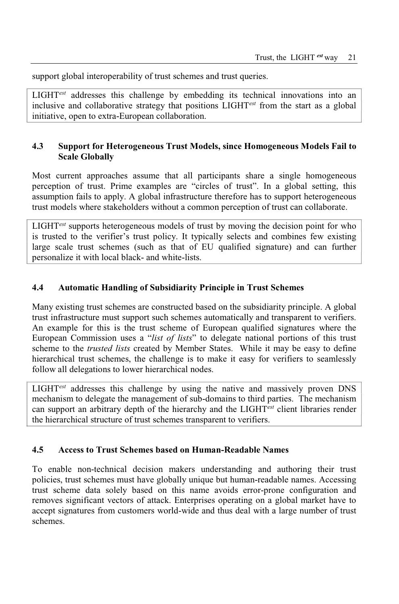support global interoperability of trust schemes and trust queries.

LIGHT*est* addresses this challenge by embedding its technical innovations into an inclusive and collaborative strategy that positions LIGHT*est* from the start as a global initiative, open to extra-European collaboration.

#### **4.3 Support for Heterogeneous Trust Models, since Homogeneous Models Fail to Scale Globally**

Most current approaches assume that all participants share a single homogeneous perception of trust. Prime examples are "circles of trust". In a global setting, this assumption fails to apply. A global infrastructure therefore has to support heterogeneous trust models where stakeholders without a common perception of trust can collaborate.

LIGHT*est* supports heterogeneous models of trust by moving the decision point for who is trusted to the verifier's trust policy. It typically selects and combines few existing large scale trust schemes (such as that of EU qualified signature) and can further personalize it with local black- and white-lists.

#### **4.4 Automatic Handling of Subsidiarity Principle in Trust Schemes**

Many existing trust schemes are constructed based on the subsidiarity principle. A global trust infrastructure must support such schemes automatically and transparent to verifiers. An example for this is the trust scheme of European qualified signatures where the European Commission uses a "*list of lists*" to delegate national portions of this trust scheme to the *trusted lists* created by Member States. While it may be easy to define hierarchical trust schemes, the challenge is to make it easy for verifiers to seamlessly follow all delegations to lower hierarchical nodes.

LIGHT*est* addresses this challenge by using the native and massively proven DNS mechanism to delegate the management of sub-domains to third parties. The mechanism can support an arbitrary depth of the hierarchy and the LIGHT*est* client libraries render the hierarchical structure of trust schemes transparent to verifiers.

#### **4.5 Access to Trust Schemes based on Human-Readable Names**

To enable non-technical decision makers understanding and authoring their trust policies, trust schemes must have globally unique but human-readable names. Accessing trust scheme data solely based on this name avoids error-prone configuration and removes significant vectors of attack. Enterprises operating on a global market have to accept signatures from customers world-wide and thus deal with a large number of trust schemes.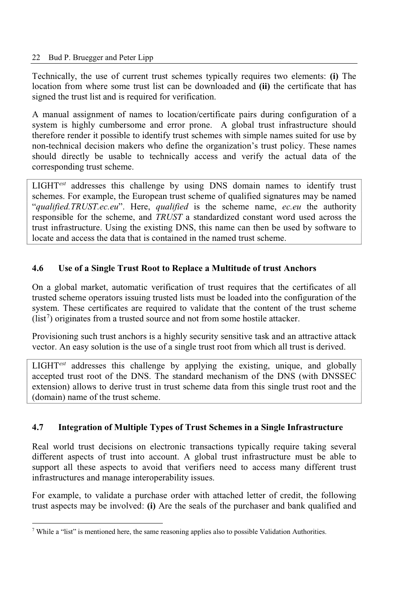Technically, the use of current trust schemes typically requires two elements: **(i)** The location from where some trust list can be downloaded and **(ii)** the certificate that has signed the trust list and is required for verification.

A manual assignment of names to location/certificate pairs during configuration of a system is highly cumbersome and error prone. A global trust infrastructure should therefore render it possible to identify trust schemes with simple names suited for use by non-technical decision makers who define the organization's trust policy. These names should directly be usable to technically access and verify the actual data of the corresponding trust scheme.

LIGHT*est* addresses this challenge by using DNS domain names to identify trust schemes. For example, the European trust scheme of qualified signatures may be named "*qualified.TRUST.ec.eu*". Here, *qualified* is the scheme name, *ec.eu* the authority responsible for the scheme, and *TRUST* a standardized constant word used across the trust infrastructure. Using the existing DNS, this name can then be used by software to locate and access the data that is contained in the named trust scheme.

### **4.6 Use of a Single Trust Root to Replace a Multitude of trust Anchors**

On a global market, automatic verification of trust requires that the certificates of all trusted scheme operators issuing trusted lists must be loaded into the configuration of the system. These certificates are required to validate that the content of the trust scheme  $(list<sup>7</sup>)$  originates from a trusted source and not from some hostile attacker.

Provisioning such trust anchors is a highly security sensitive task and an attractive attack vector. An easy solution is the use of a single trust root from which all trust is derived.

LIGHT*est* addresses this challenge by applying the existing, unique, and globally accepted trust root of the DNS. The standard mechanism of the DNS (with DNSSEC extension) allows to derive trust in trust scheme data from this single trust root and the (domain) name of the trust scheme.

#### **4.7 Integration of Multiple Types of Trust Schemes in a Single Infrastructure**

Real world trust decisions on electronic transactions typically require taking several different aspects of trust into account. A global trust infrastructure must be able to support all these aspects to avoid that verifiers need to access many different trust infrastructures and manage interoperability issues.

For example, to validate a purchase order with attached letter of credit, the following trust aspects may be involved: **(i)** Are the seals of the purchaser and bank qualified and

<sup>7</sup> While a "list" is mentioned here, the same reasoning applies also to possible Validation Authorities.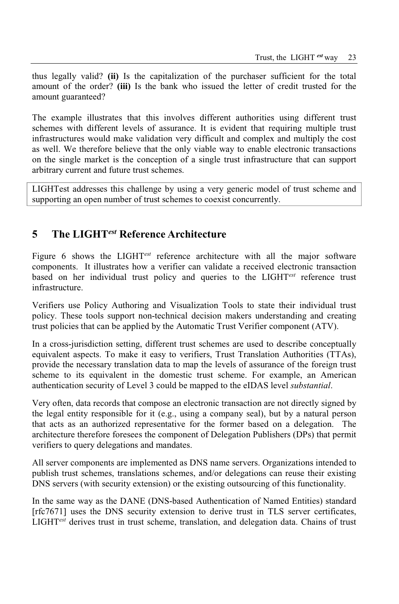thus legally valid? **(ii)** Is the capitalization of the purchaser sufficient for the total amount of the order? **(iii)** Is the bank who issued the letter of credit trusted for the amount guaranteed?

The example illustrates that this involves different authorities using different trust schemes with different levels of assurance. It is evident that requiring multiple trust infrastructures would make validation very difficult and complex and multiply the cost as well. We therefore believe that the only viable way to enable electronic transactions on the single market is the conception of a single trust infrastructure that can support arbitrary current and future trust schemes.

LIGHTest addresses this challenge by using a very generic model of trust scheme and supporting an open number of trust schemes to coexist concurrently.

# **5 The LIGHT***est* **Reference Architecture**

Figure 6 shows the LIGHT*est* reference architecture with all the major software components. It illustrates how a verifier can validate a received electronic transaction based on her individual trust policy and queries to the LIGHT*est* reference trust infrastructure.

Verifiers use Policy Authoring and Visualization Tools to state their individual trust policy. These tools support non-technical decision makers understanding and creating trust policies that can be applied by the Automatic Trust Verifier component (ATV).

In a cross-jurisdiction setting, different trust schemes are used to describe conceptually equivalent aspects. To make it easy to verifiers, Trust Translation Authorities (TTAs), provide the necessary translation data to map the levels of assurance of the foreign trust scheme to its equivalent in the domestic trust scheme. For example, an American authentication security of Level 3 could be mapped to the eIDAS level *substantial*.

Very often, data records that compose an electronic transaction are not directly signed by the legal entity responsible for it (e.g., using a company seal), but by a natural person that acts as an authorized representative for the former based on a delegation. The architecture therefore foresees the component of Delegation Publishers (DPs) that permit verifiers to query delegations and mandates.

All server components are implemented as DNS name servers. Organizations intended to publish trust schemes, translations schemes, and/or delegations can reuse their existing DNS servers (with security extension) or the existing outsourcing of this functionality.

In the same way as the DANE (DNS-based Authentication of Named Entities) standard [rfc7671] uses the DNS security extension to derive trust in TLS server certificates, LIGHT*est* derives trust in trust scheme, translation, and delegation data. Chains of trust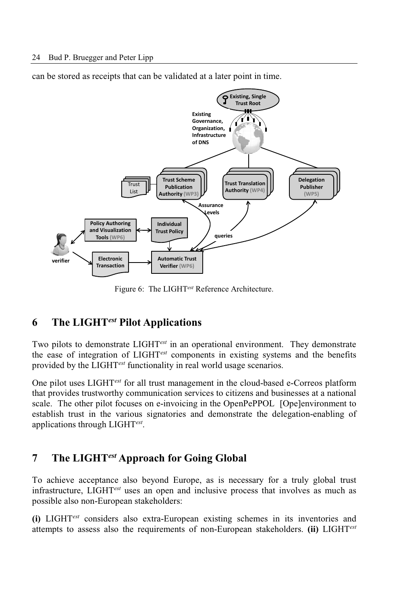can be stored as receipts that can be validated at a later point in time.



Figure 6: The LIGHT*est* Reference Architecture.

### **6 The LIGHT***est* **Pilot Applications**

Two pilots to demonstrate LIGHT*est* in an operational environment. They demonstrate the ease of integration of LIGHT*est* components in existing systems and the benefits provided by the LIGHT*est* functionality in real world usage scenarios.

One pilot uses LIGHT*est* for all trust management in the cloud-based e-Correos platform that provides trustworthy communication services to citizens and businesses at a national scale. The other pilot focuses on e-invoicing in the OpenPePPOL [Ope]environment to establish trust in the various signatories and demonstrate the delegation-enabling of applications through LIGHT*est* .

### **7 The LIGHT***est* **Approach for Going Global**

To achieve acceptance also beyond Europe, as is necessary for a truly global trust infrastructure, LIGHT*est* uses an open and inclusive process that involves as much as possible also non-European stakeholders:

**(i)** LIGHT*est* considers also extra-European existing schemes in its inventories and attempts to assess also the requirements of non-European stakeholders. **(ii)** LIGHT*est*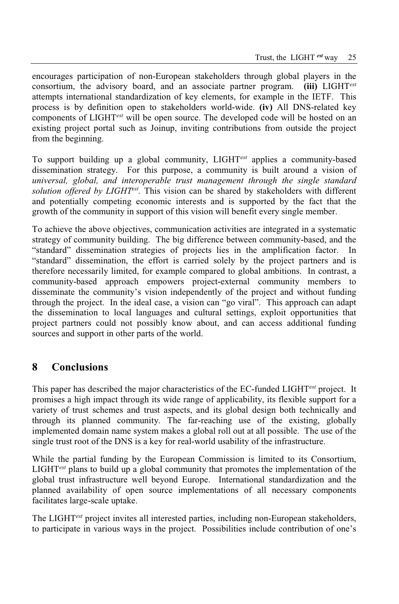encourages participation of non-European stakeholders through global players in the consortium, the advisory board, and an associate partner program. **(iii)** LIGHT*est* attempts international standardization of key elements, for example in the IETF. This process is by definition open to stakeholders world-wide. **(iv)** All DNS-related key components of LIGHT*est* will be open source. The developed code will be hosted on an existing project portal such as Joinup, inviting contributions from outside the project from the beginning.

To support building up a global community, LIGHT*est* applies a community-based dissemination strategy. For this purpose, a community is built around a vision of *universal, global, and interoperable trust management through the single standard solution offered by LIGHTest .* This vision can be shared by stakeholders with different and potentially competing economic interests and is supported by the fact that the growth of the community in support of this vision will benefit every single member.

To achieve the above objectives, communication activities are integrated in a systematic strategy of community building. The big difference between community-based, and the "standard" dissemination strategies of projects lies in the amplification factor. In "standard" dissemination, the effort is carried solely by the project partners and is therefore necessarily limited, for example compared to global ambitions. In contrast, a community-based approach empowers project-external community members to disseminate the community's vision independently of the project and without funding through the project. In the ideal case, a vision can "go viral". This approach can adapt the dissemination to local languages and cultural settings, exploit opportunities that project partners could not possibly know about, and can access additional funding sources and support in other parts of the world.

### **8 Conclusions**

This paper has described the major characteristics of the EC-funded LIGHT*est* project. It promises a high impact through its wide range of applicability, its flexible support for a variety of trust schemes and trust aspects, and its global design both technically and through its planned community. The far-reaching use of the existing, globally implemented domain name system makes a global roll out at all possible. The use of the single trust root of the DNS is a key for real-world usability of the infrastructure.

While the partial funding by the European Commission is limited to its Consortium, LIGHT*est* plans to build up a global community that promotes the implementation of the global trust infrastructure well beyond Europe. International standardization and the planned availability of open source implementations of all necessary components facilitates large-scale uptake.

The LIGHT*est* project invites all interested parties, including non-European stakeholders, to participate in various ways in the project. Possibilities include contribution of one's